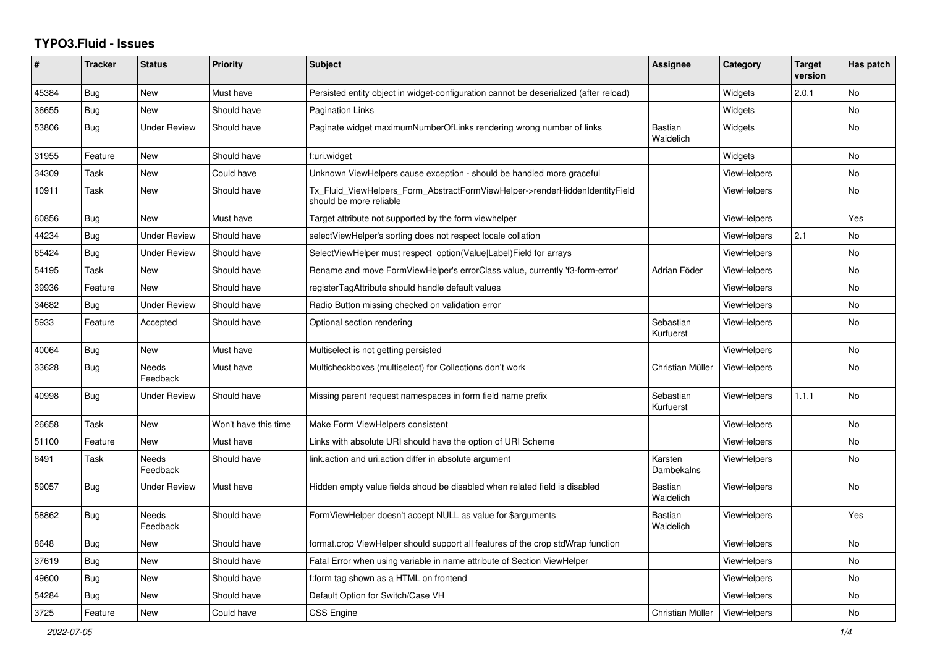## **TYPO3.Fluid - Issues**

| ∦     | <b>Tracker</b> | <b>Status</b>            | <b>Priority</b>      | <b>Subject</b>                                                                                         | Assignee                    | Category           | <b>Target</b><br>version | Has patch      |
|-------|----------------|--------------------------|----------------------|--------------------------------------------------------------------------------------------------------|-----------------------------|--------------------|--------------------------|----------------|
| 45384 | Bug            | New                      | Must have            | Persisted entity object in widget-configuration cannot be deserialized (after reload)                  |                             | Widgets            | 2.0.1                    | <b>No</b>      |
| 36655 | Bug            | New                      | Should have          | <b>Pagination Links</b>                                                                                |                             | Widgets            |                          | <b>No</b>      |
| 53806 | Bug            | Under Review             | Should have          | Paginate widget maximumNumberOfLinks rendering wrong number of links                                   | <b>Bastian</b><br>Waidelich | Widgets            |                          | No.            |
| 31955 | Feature        | New                      | Should have          | f:uri.widget                                                                                           |                             | Widgets            |                          | <b>No</b>      |
| 34309 | Task           | New                      | Could have           | Unknown ViewHelpers cause exception - should be handled more graceful                                  |                             | ViewHelpers        |                          | No             |
| 10911 | Task           | New                      | Should have          | Tx_Fluid_ViewHelpers_Form_AbstractFormViewHelper->renderHiddenIdentityField<br>should be more reliable |                             | ViewHelpers        |                          | <b>No</b>      |
| 60856 | <b>Bug</b>     | <b>New</b>               | Must have            | Target attribute not supported by the form viewhelper                                                  |                             | <b>ViewHelpers</b> |                          | Yes            |
| 44234 | <b>Bug</b>     | <b>Under Review</b>      | Should have          | selectViewHelper's sorting does not respect locale collation                                           |                             | <b>ViewHelpers</b> | 2.1                      | No             |
| 65424 | Bug            | Under Review             | Should have          | SelectViewHelper must respect option(Value Label)Field for arrays                                      |                             | ViewHelpers        |                          | <b>No</b>      |
| 54195 | Task           | New                      | Should have          | Rename and move FormViewHelper's errorClass value, currently 'f3-form-error'                           | Adrian Föder                | <b>ViewHelpers</b> |                          | No.            |
| 39936 | Feature        | <b>New</b>               | Should have          | registerTagAttribute should handle default values                                                      |                             | <b>ViewHelpers</b> |                          | <b>No</b>      |
| 34682 | Bug            | <b>Under Review</b>      | Should have          | Radio Button missing checked on validation error                                                       |                             | <b>ViewHelpers</b> |                          | <b>No</b>      |
| 5933  | Feature        | Accepted                 | Should have          | Optional section rendering                                                                             | Sebastian<br>Kurfuerst      | <b>ViewHelpers</b> |                          | <b>No</b>      |
| 40064 | <b>Bug</b>     | <b>New</b>               | Must have            | Multiselect is not getting persisted                                                                   |                             | <b>ViewHelpers</b> |                          | <b>No</b>      |
| 33628 | Bug            | Needs<br>Feedback        | Must have            | Multicheckboxes (multiselect) for Collections don't work                                               | Christian Müller            | <b>ViewHelpers</b> |                          | No.            |
| 40998 | Bug            | <b>Under Review</b>      | Should have          | Missing parent request namespaces in form field name prefix                                            | Sebastian<br>Kurfuerst      | ViewHelpers        | 1.1.1                    | <b>No</b>      |
| 26658 | Task           | New                      | Won't have this time | Make Form ViewHelpers consistent                                                                       |                             | <b>ViewHelpers</b> |                          | No             |
| 51100 | Feature        | New                      | Must have            | Links with absolute URI should have the option of URI Scheme                                           |                             | <b>ViewHelpers</b> |                          | <b>No</b>      |
| 8491  | Task           | <b>Needs</b><br>Feedback | Should have          | link.action and uri.action differ in absolute argument                                                 | Karsten<br>Dambekalns       | <b>ViewHelpers</b> |                          | <b>No</b>      |
| 59057 | Bug            | Under Review             | Must have            | Hidden empty value fields shoud be disabled when related field is disabled                             | Bastian<br>Waidelich        | <b>ViewHelpers</b> |                          | N <sub>o</sub> |
| 58862 | Bug            | <b>Needs</b><br>Feedback | Should have          | FormViewHelper doesn't accept NULL as value for \$arguments                                            | <b>Bastian</b><br>Waidelich | ViewHelpers        |                          | Yes            |
| 8648  | Bug            | New                      | Should have          | format.crop ViewHelper should support all features of the crop stdWrap function                        |                             | <b>ViewHelpers</b> |                          | <b>No</b>      |
| 37619 | Bug            | New                      | Should have          | Fatal Error when using variable in name attribute of Section ViewHelper                                |                             | ViewHelpers        |                          | <b>No</b>      |
| 49600 | Bug            | New                      | Should have          | f:form tag shown as a HTML on frontend                                                                 |                             | <b>ViewHelpers</b> |                          | No.            |
| 54284 | Bug            | New                      | Should have          | Default Option for Switch/Case VH                                                                      |                             | <b>ViewHelpers</b> |                          | <b>No</b>      |
| 3725  | Feature        | <b>New</b>               | Could have           | <b>CSS Engine</b>                                                                                      | Christian Müller            | ViewHelpers        |                          | <b>No</b>      |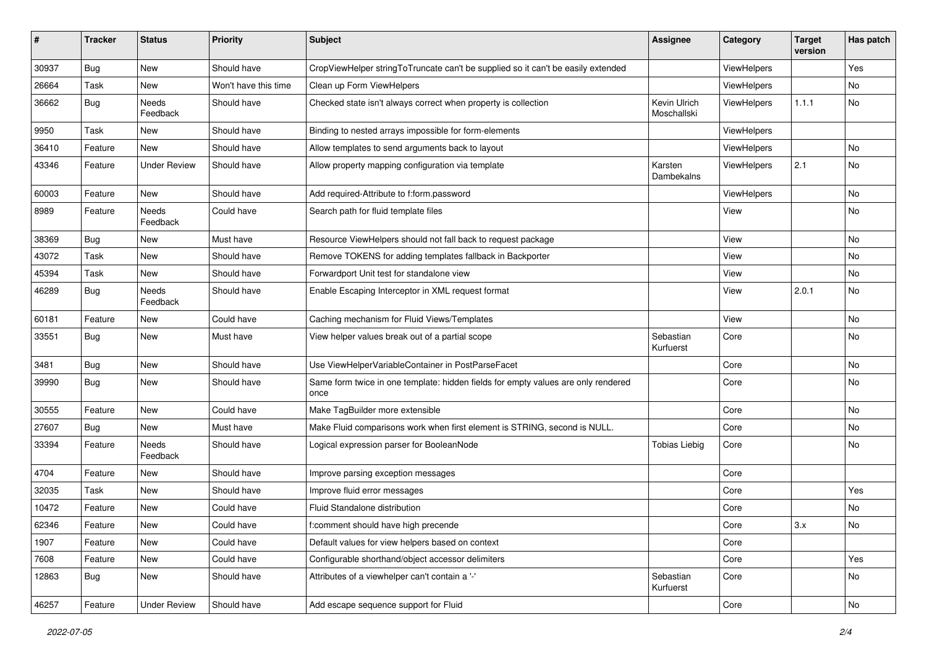| $\sharp$ | <b>Tracker</b> | <b>Status</b>       | <b>Priority</b>      | <b>Subject</b>                                                                            | <b>Assignee</b>             | Category    | <b>Target</b><br>version | Has patch |
|----------|----------------|---------------------|----------------------|-------------------------------------------------------------------------------------------|-----------------------------|-------------|--------------------------|-----------|
| 30937    | Bug            | New                 | Should have          | CropViewHelper stringToTruncate can't be supplied so it can't be easily extended          |                             | ViewHelpers |                          | Yes       |
| 26664    | Task           | New                 | Won't have this time | Clean up Form ViewHelpers                                                                 |                             | ViewHelpers |                          | No        |
| 36662    | Bug            | Needs<br>Feedback   | Should have          | Checked state isn't always correct when property is collection                            | Kevin Ulrich<br>Moschallski | ViewHelpers | 1.1.1                    | No        |
| 9950     | Task           | New                 | Should have          | Binding to nested arrays impossible for form-elements                                     |                             | ViewHelpers |                          |           |
| 36410    | Feature        | New                 | Should have          | Allow templates to send arguments back to layout                                          |                             | ViewHelpers |                          | No        |
| 43346    | Feature        | Under Review        | Should have          | Allow property mapping configuration via template                                         | Karsten<br>Dambekalns       | ViewHelpers | 2.1                      | No        |
| 60003    | Feature        | New                 | Should have          | Add required-Attribute to f:form.password                                                 |                             | ViewHelpers |                          | <b>No</b> |
| 8989     | Feature        | Needs<br>Feedback   | Could have           | Search path for fluid template files                                                      |                             | View        |                          | No        |
| 38369    | Bug            | New                 | Must have            | Resource ViewHelpers should not fall back to request package                              |                             | View        |                          | No        |
| 43072    | Task           | New                 | Should have          | Remove TOKENS for adding templates fallback in Backporter                                 |                             | View        |                          | No        |
| 45394    | Task           | New                 | Should have          | Forwardport Unit test for standalone view                                                 |                             | View        |                          | No        |
| 46289    | Bug            | Needs<br>Feedback   | Should have          | Enable Escaping Interceptor in XML request format                                         |                             | View        | 2.0.1                    | No        |
| 60181    | Feature        | New                 | Could have           | Caching mechanism for Fluid Views/Templates                                               |                             | View        |                          | No        |
| 33551    | Bug            | New                 | Must have            | View helper values break out of a partial scope                                           | Sebastian<br>Kurfuerst      | Core        |                          | No        |
| 3481     | Bug            | New                 | Should have          | Use ViewHelperVariableContainer in PostParseFacet                                         |                             | Core        |                          | No        |
| 39990    | Bug            | New                 | Should have          | Same form twice in one template: hidden fields for empty values are only rendered<br>once |                             | Core        |                          | No        |
| 30555    | Feature        | New                 | Could have           | Make TagBuilder more extensible                                                           |                             | Core        |                          | No        |
| 27607    | Bug            | New                 | Must have            | Make Fluid comparisons work when first element is STRING, second is NULL.                 |                             | Core        |                          | No        |
| 33394    | Feature        | Needs<br>Feedback   | Should have          | Logical expression parser for BooleanNode                                                 | <b>Tobias Liebig</b>        | Core        |                          | No        |
| 4704     | Feature        | New                 | Should have          | Improve parsing exception messages                                                        |                             | Core        |                          |           |
| 32035    | Task           | New                 | Should have          | Improve fluid error messages                                                              |                             | Core        |                          | Yes       |
| 10472    | Feature        | New                 | Could have           | Fluid Standalone distribution                                                             |                             | Core        |                          | No        |
| 62346    | Feature        | New                 | Could have           | f:comment should have high precende                                                       |                             | Core        | 3.x                      | No        |
| 1907     | Feature        | New                 | Could have           | Default values for view helpers based on context                                          |                             | Core        |                          |           |
| 7608     | Feature        | New                 | Could have           | Configurable shorthand/object accessor delimiters                                         |                             | Core        |                          | Yes       |
| 12863    | Bug            | New                 | Should have          | Attributes of a viewhelper can't contain a '-'                                            | Sebastian<br>Kurfuerst      | Core        |                          | No        |
| 46257    | Feature        | <b>Under Review</b> | Should have          | Add escape sequence support for Fluid                                                     |                             | Core        |                          | No        |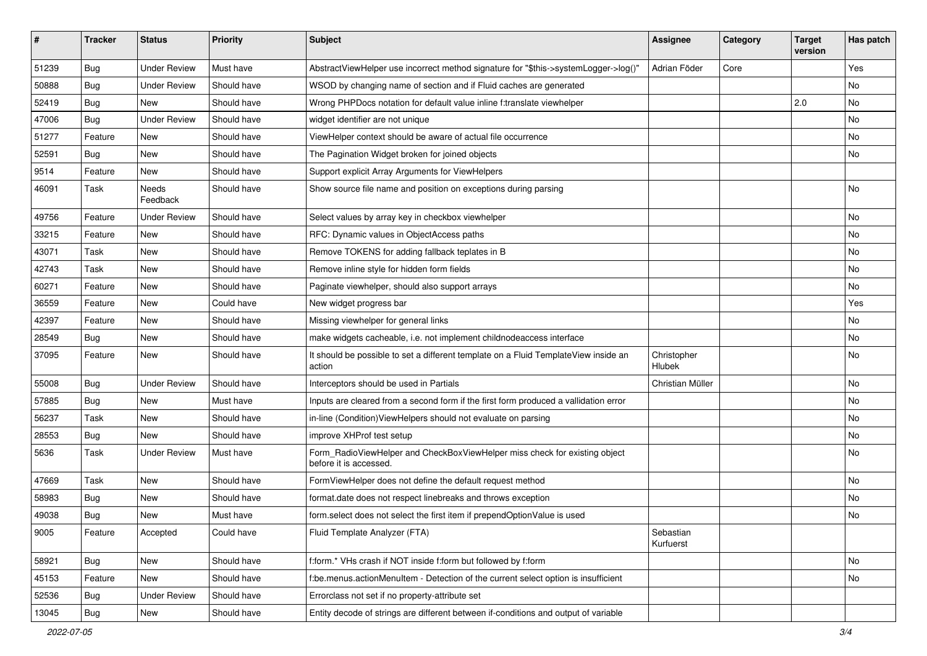| #     | <b>Tracker</b> | <b>Status</b>       | <b>Priority</b> | Subject                                                                                              | <b>Assignee</b>        | Category | <b>Target</b><br>version | Has patch |
|-------|----------------|---------------------|-----------------|------------------------------------------------------------------------------------------------------|------------------------|----------|--------------------------|-----------|
| 51239 | Bug            | <b>Under Review</b> | Must have       | AbstractViewHelper use incorrect method signature for "\$this->systemLogger->log()"                  | Adrian Föder           | Core     |                          | Yes       |
| 50888 | Bug            | <b>Under Review</b> | Should have     | WSOD by changing name of section and if Fluid caches are generated                                   |                        |          |                          | No        |
| 52419 | Bug            | New                 | Should have     | Wrong PHPDocs notation for default value inline f:translate viewhelper                               |                        |          | 2.0                      | No        |
| 47006 | Bug            | <b>Under Review</b> | Should have     | widget identifier are not unique                                                                     |                        |          |                          | <b>No</b> |
| 51277 | Feature        | New                 | Should have     | ViewHelper context should be aware of actual file occurrence                                         |                        |          |                          | No        |
| 52591 | Bug            | <b>New</b>          | Should have     | The Pagination Widget broken for joined objects                                                      |                        |          |                          | No        |
| 9514  | Feature        | New                 | Should have     | Support explicit Array Arguments for ViewHelpers                                                     |                        |          |                          |           |
| 46091 | Task           | Needs<br>Feedback   | Should have     | Show source file name and position on exceptions during parsing                                      |                        |          |                          | No        |
| 49756 | Feature        | <b>Under Review</b> | Should have     | Select values by array key in checkbox viewhelper                                                    |                        |          |                          | No        |
| 33215 | Feature        | New                 | Should have     | RFC: Dynamic values in ObjectAccess paths                                                            |                        |          |                          | No        |
| 43071 | Task           | New                 | Should have     | Remove TOKENS for adding fallback teplates in B                                                      |                        |          |                          | No        |
| 42743 | Task           | New                 | Should have     | Remove inline style for hidden form fields                                                           |                        |          |                          | No        |
| 60271 | Feature        | <b>New</b>          | Should have     | Paginate viewhelper, should also support arrays                                                      |                        |          |                          | <b>No</b> |
| 36559 | Feature        | New                 | Could have      | New widget progress bar                                                                              |                        |          |                          | Yes       |
| 42397 | Feature        | New                 | Should have     | Missing viewhelper for general links                                                                 |                        |          |                          | No        |
| 28549 | Bug            | New                 | Should have     | make widgets cacheable, i.e. not implement childnodeaccess interface                                 |                        |          |                          | No        |
| 37095 | Feature        | New                 | Should have     | It should be possible to set a different template on a Fluid TemplateView inside an<br>action        | Christopher<br>Hlubek  |          |                          | No        |
| 55008 | Bug            | <b>Under Review</b> | Should have     | Interceptors should be used in Partials                                                              | Christian Müller       |          |                          | No        |
| 57885 | Bug            | New                 | Must have       | Inputs are cleared from a second form if the first form produced a vallidation error                 |                        |          |                          | No        |
| 56237 | Task           | New                 | Should have     | in-line (Condition) ViewHelpers should not evaluate on parsing                                       |                        |          |                          | No        |
| 28553 | Bug            | New                 | Should have     | improve XHProf test setup                                                                            |                        |          |                          | No        |
| 5636  | Task           | Under Review        | Must have       | Form_RadioViewHelper and CheckBoxViewHelper miss check for existing object<br>before it is accessed. |                        |          |                          | No        |
| 47669 | Task           | New                 | Should have     | FormViewHelper does not define the default request method                                            |                        |          |                          | No        |
| 58983 | Bug            | New                 | Should have     | format.date does not respect linebreaks and throws exception                                         |                        |          |                          | <b>No</b> |
| 49038 | Bug            | New                 | Must have       | form.select does not select the first item if prependOptionValue is used                             |                        |          |                          | No        |
| 9005  | Feature        | Accepted            | Could have      | Fluid Template Analyzer (FTA)                                                                        | Sebastian<br>Kurfuerst |          |                          |           |
| 58921 | <b>Bug</b>     | New                 | Should have     | f:form.* VHs crash if NOT inside f:form but followed by f:form                                       |                        |          |                          | No        |
| 45153 | Feature        | New                 | Should have     | f:be.menus.actionMenuItem - Detection of the current select option is insufficient                   |                        |          |                          | No        |
| 52536 | <b>Bug</b>     | <b>Under Review</b> | Should have     | Errorclass not set if no property-attribute set                                                      |                        |          |                          |           |
| 13045 | <b>Bug</b>     | New                 | Should have     | Entity decode of strings are different between if-conditions and output of variable                  |                        |          |                          |           |